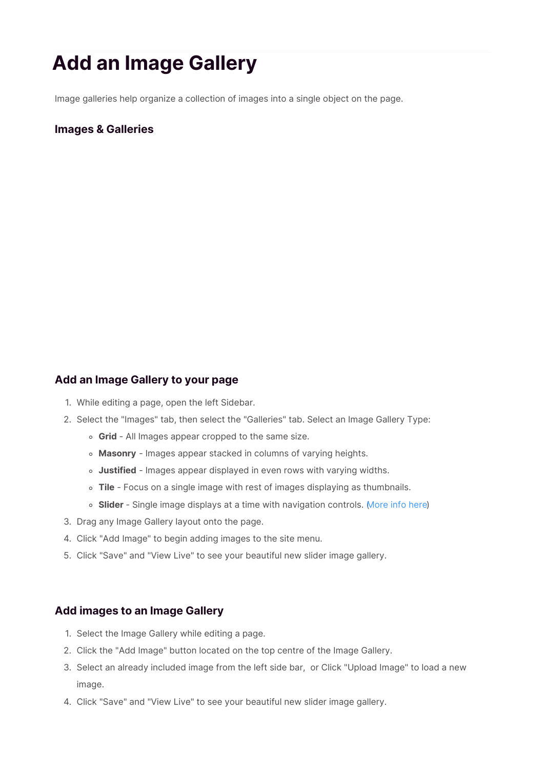# **Add an Image Gallery**

Image galleries help organize a collection of images into a single object on the page.

### **Images & Galleries**

#### **Add an Image Gallery to your page**

- 1. While editing a page, open the left Sidebar.
- 2. Select the "Images" tab, then select the "Galleries" tab. Select an Image Gallery Type:
	- **Grid** All Images appear cropped to the same size.
	- **Masonry** Images appear stacked in columns of varying heights.
	- **Justified** Images appear displayed in even rows with varying widths.
	- **Tile** Focus on a single image with rest of images displaying as thumbnails.
	- **Slider** Single image displays at a time with navigation controls. (More info here)
- 3. Drag any Image Gallery layout onto the page.
- 4. Click "Add Image" to begin adding images to the site menu.
- 5. Click "Save" and "View Live" to see your beautiful new slider image gallery.

#### **Add images to an Image Gallery**

- 1. Select the Image Gallery while editing a page.
- 2. Click the "Add Image" button located on the top centre of the Image Gallery.
- 3. Select an already included image from the left side bar, or Click "Upload Image" to load a new image.
- 4. Click "Save" and "View Live" to see your beautiful new slider image gallery.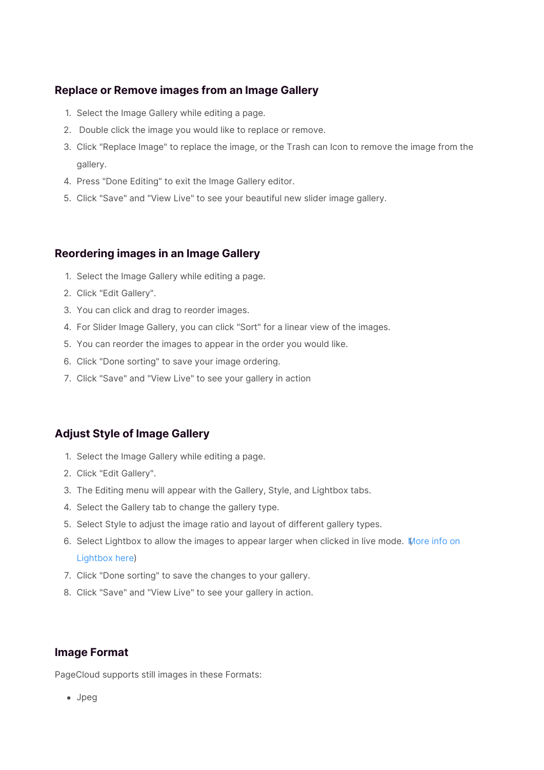## **Replace or Remove images from an Image Gallery**

- 1. Select the Image Gallery while editing a page.
- 2. Double click the image you would like to replace or remove.
- 3. Click "Replace Image" to replace the image, or the Trash can Icon to remove the image from the gallery.
- 4. Press "Done Editing" to exit the Image Gallery editor.
- 5. Click "Save" and "View Live" to see your beautiful new slider image gallery.

## **Reordering images in an Image Gallery**

- 1. Select the Image Gallery while editing a page.
- 2. Click "Edit Gallery".
- 3. You can click and drag to reorder images.
- 4. For Slider Image Gallery, you can click "Sort" for a linear view of the images.
- 5. You can reorder the images to appear in the order you would like.
- 6. Click "Done sorting" to save your image ordering.
- 7. Click "Save" and "View Live" to see your gallery in action

# **Adjust Style of Image Gallery**

- 1. Select the Image Gallery while editing a page.
- 2. Click "Edit Gallery".
- 3. The Editing menu will appear with the Gallery, Style, and Lightbox tabs.
- 4. Select the Gallery tab to change the gallery type.
- 5. Select Style to adjust the image ratio and layout of different gallery types.
- 6. Select Lightbox to allow the images to appear larger when clicked in live mode. More info on Lightbox here)
- 7. Click "Done sorting" to save the changes to your gallery.
- 8. Click "Save" and "View Live" to see your gallery in action.

### **Image Format**

PageCloud supports still images in these Formats:

Jpeg